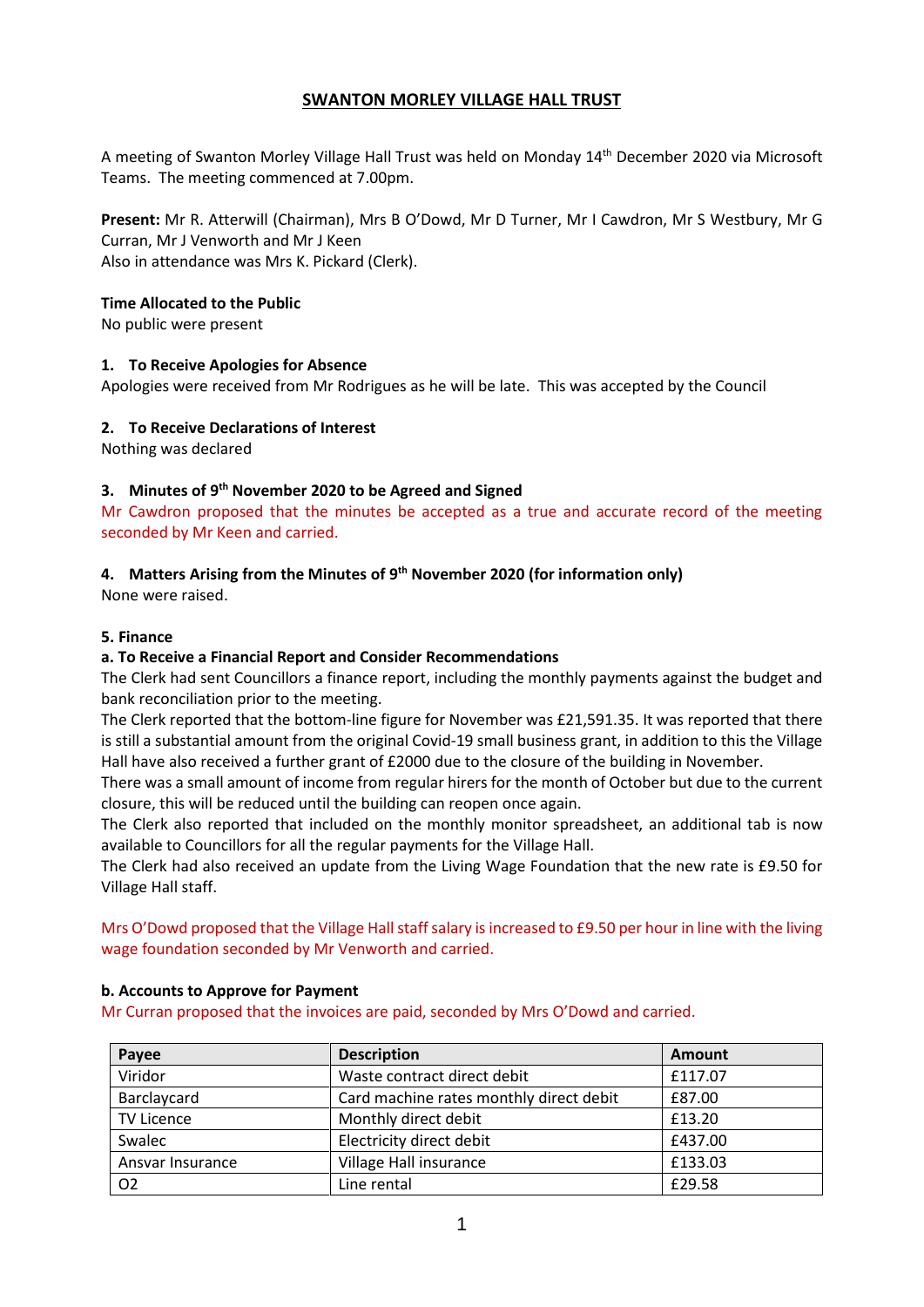# **SWANTON MORLEY VILLAGE HALL TRUST**

A meeting of Swanton Morley Village Hall Trust was held on Monday 14<sup>th</sup> December 2020 via Microsoft Teams. The meeting commenced at 7.00pm.

**Present:** Mr R. Atterwill (Chairman), Mrs B O'Dowd, Mr D Turner, Mr I Cawdron, Mr S Westbury, Mr G Curran, Mr J Venworth and Mr J Keen Also in attendance was Mrs K. Pickard (Clerk).

## **Time Allocated to the Public**

No public were present

## **1. To Receive Apologies for Absence**

Apologies were received from Mr Rodrigues as he will be late. This was accepted by the Council

## **2. To Receive Declarations of Interest**

Nothing was declared

# **3. Minutes of 9 th November 2020 to be Agreed and Signed**

Mr Cawdron proposed that the minutes be accepted as a true and accurate record of the meeting seconded by Mr Keen and carried.

# **4. Matters Arising from the Minutes of 9 th November 2020 (for information only)**

None were raised.

## **5. Finance**

# **a. To Receive a Financial Report and Consider Recommendations**

The Clerk had sent Councillors a finance report, including the monthly payments against the budget and bank reconciliation prior to the meeting.

The Clerk reported that the bottom-line figure for November was £21,591.35. It was reported that there is still a substantial amount from the original Covid-19 small business grant, in addition to this the Village Hall have also received a further grant of £2000 due to the closure of the building in November.

There was a small amount of income from regular hirers for the month of October but due to the current closure, this will be reduced until the building can reopen once again.

The Clerk also reported that included on the monthly monitor spreadsheet, an additional tab is now available to Councillors for all the regular payments for the Village Hall.

The Clerk had also received an update from the Living Wage Foundation that the new rate is £9.50 for Village Hall staff.

Mrs O'Dowd proposed that the Village Hall staff salary is increased to £9.50 per hour in line with the living wage foundation seconded by Mr Venworth and carried.

# **b. Accounts to Approve for Payment**

Mr Curran proposed that the invoices are paid, seconded by Mrs O'Dowd and carried.

| Payee             | <b>Description</b>                      | Amount  |
|-------------------|-----------------------------------------|---------|
| Viridor           | Waste contract direct debit             | £117.07 |
| Barclaycard       | Card machine rates monthly direct debit | £87.00  |
| <b>TV Licence</b> | Monthly direct debit                    | £13.20  |
| Swalec            | Electricity direct debit                | £437.00 |
| Ansvar Insurance  | Village Hall insurance                  | £133.03 |
| 02                | Line rental                             | £29.58  |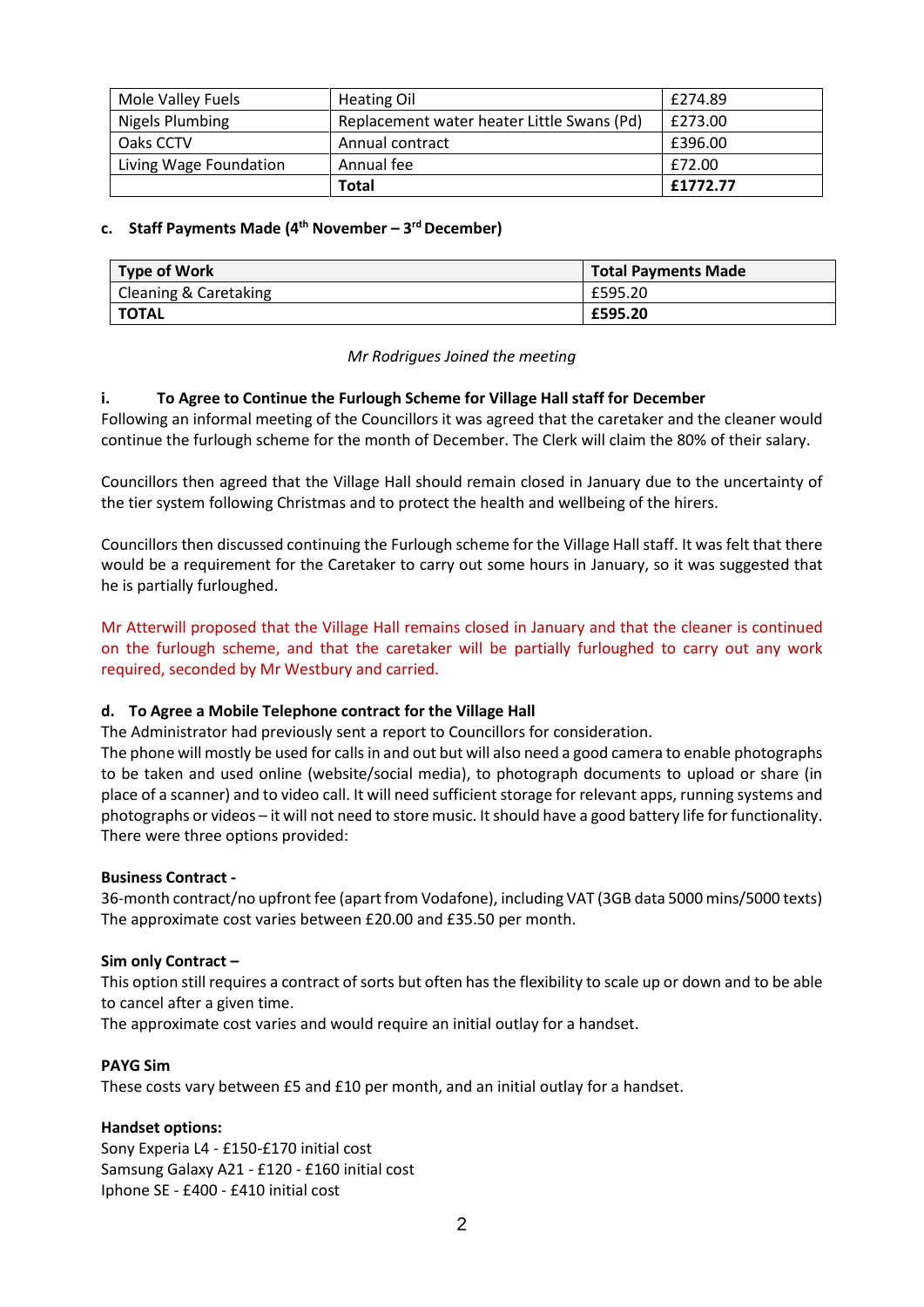| Mole Valley Fuels      | <b>Heating Oil</b>                         | £274.89  |
|------------------------|--------------------------------------------|----------|
| Nigels Plumbing        | Replacement water heater Little Swans (Pd) | £273.00  |
| Oaks CCTV              | Annual contract                            | £396.00  |
| Living Wage Foundation | Annual fee                                 | £72.00   |
|                        | <b>Total</b>                               | £1772.77 |

#### **c. Staff Payments Made (4th November – 3 rdDecember)**

| <b>Type of Work</b>   | <b>Total Payments Made</b> |  |
|-----------------------|----------------------------|--|
| Cleaning & Caretaking | £595.20                    |  |
| <b>TOTAL</b>          | £595.20                    |  |

#### *Mr Rodrigues Joined the meeting*

#### **i. To Agree to Continue the Furlough Scheme for Village Hall staff for December**

Following an informal meeting of the Councillors it was agreed that the caretaker and the cleaner would continue the furlough scheme for the month of December. The Clerk will claim the 80% of their salary.

Councillors then agreed that the Village Hall should remain closed in January due to the uncertainty of the tier system following Christmas and to protect the health and wellbeing of the hirers.

Councillors then discussed continuing the Furlough scheme for the Village Hall staff. It was felt that there would be a requirement for the Caretaker to carry out some hours in January, so it was suggested that he is partially furloughed.

Mr Atterwill proposed that the Village Hall remains closed in January and that the cleaner is continued on the furlough scheme, and that the caretaker will be partially furloughed to carry out any work required, seconded by Mr Westbury and carried.

#### **d. To Agree a Mobile Telephone contract for the Village Hall**

The Administrator had previously sent a report to Councillors for consideration.

The phone will mostly be used for calls in and out but will also need a good camera to enable photographs to be taken and used online (website/social media), to photograph documents to upload or share (in place of a scanner) and to video call. It will need sufficient storage for relevant apps, running systems and photographs or videos – it will not need to store music. It should have a good battery life for functionality. There were three options provided:

#### **Business Contract -**

36-month contract/no upfront fee (apart from Vodafone), including VAT (3GB data 5000 mins/5000 texts) The approximate cost varies between £20.00 and £35.50 per month.

#### **Sim only Contract –**

This option still requires a contract of sorts but often has the flexibility to scale up or down and to be able to cancel after a given time.

The approximate cost varies and would require an initial outlay for a handset.

#### **PAYG Sim**

These costs vary between £5 and £10 per month, and an initial outlay for a handset.

#### **Handset options:**

Sony Experia L4 - £150-£170 initial cost Samsung Galaxy A21 - £120 - £160 initial cost Iphone SE - £400 - £410 initial cost